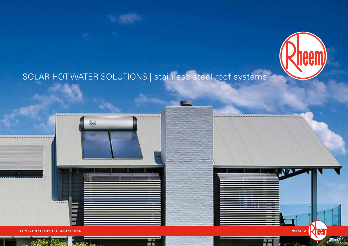

# SOLAR HOT WATER SOLUTIONS | stainless steel roof systems

甜品





H

 $= 1$ 

**COMES ON STEADY, HOT AND STRONG**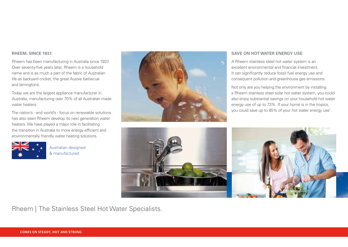#### **RHEEM. SINCE 1937.**

Rheem has been manufacturing in Australia since 1937. Over seventy-five years later, Rheem is a household name and is as much a part of the fabric of Australian life as backyard cricket, the great Aussie barbecue and lamingtons.

Today we are the largest appliance manufacturer in Australia, manufacturing over 70% of all Australian made water heaters.

The nation's - and world's - focus on renewable solutions has also seen Rheem develop its next generation water heaters. We have played a major role in facilitating the transition in Australia to more energy efficient and environmentally friendly water heating solutions.



Australian designed & manufactured



#### **SAVE ON HOT WATER ENERGY USE**

A Rheem stainless steel hot water system is an excellent environmental and financial investment. It can significantly reduce fossil fuel energy use and consequent pollution and greenhouse gas emissions.

Not only are you helping the environment by installing a Rheem stainless steel solar hot water system, you could also enjoy substantial savings on your household hot water energy use of up to 73%. If your home is in the tropics, you could save up to 85% of your hot water energy use\* .



Rheem | The Stainless Steel Hot Water Specialists.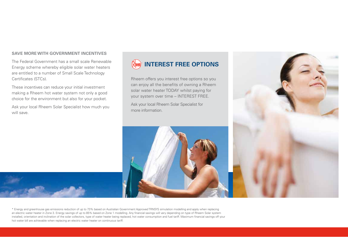#### **SAVE MORE WITH GOVERNMENT INCENTIVES**

The Federal Government has a small scale Renewable Energy scheme whereby eligible solar water heaters are entitled to a number of Small Scale Technology Certificates (STCs).

These incentives can reduce your initial investment making a Rheem hot water system not only a good choice for the environment but also for your pocket.

Ask your local Rheem Solar Specialist how much you will save.



Rheem offers you interest free options so you can enjoy all the benefits of owning a Rheem solar water heater TODAY whilst paying for your system over time – INTEREST FREE.

Ask your local Rheem Solar Specialist for more information.





\* Energy and greenhouse gas emissions reduction of up to 73% based on Australian Government Approved TRNSYS simulation modelling and apply when replacing an electric water heater in Zone 3. Energy savings of up to 85% based on Zone 1 modelling. Any financial savings will vary depending on type of Rheem Solar system installed, orientation and inclination of the solar collectors, type of water heater being replaced, hot water consumption and fuel tariff. Maximum financial savings off your hot water bill are achievable when replacing an electric water heater on continuous tariff.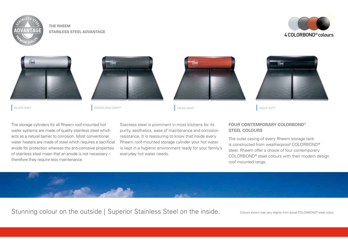

### **THE RHEEM STAINLESS STEEL ADVANTAGE**







SILVER GREY GREY NIGHT SKY®N NIGHT SKY®N SILVER GREY®NIGHT SKY®NIGHT SKY®NIGHT SKY®NIGHT SKY®NIGHT SKY®NIGHT SKY®





The storage cylinders for all Rheem roof-mounted hot water systems are made of quality stainless steel which acts as a natural barrier to corrosion. Most conventional water heaters are made of steel which requires a sacrificial anode for protection whereas the anti-corrosive properties of stainless steel mean that an anode is not necessary – therefore they require less maintenance.

Stainless steel is prominent in most kitchens for its purity, aesthetics, ease of maintenance and corrosion resistance. It is reassuring to know that inside every Rheem roof-mounted storage cylinder your hot water is kept in a hygienic environment ready for your family's everyday hot water needs.

## **FOUR CONTEMPORARY COLORBOND® STEEL COLOURS**

The outer casing of every Rheem storage tank is constructed from weatherproof COLORBOND® steel. Rheem offer a choice of four contemporary COLORBOND® steel colours with their modern design roof mounted range.



Stunning colour on the outside | Superior Stainless Steel on the inside. Colours shown may vary slightly from actual COLORBOND® steel colour.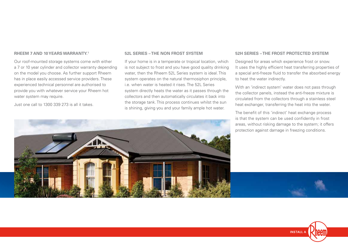#### **RHEEM 7 AND 10 YEARS WARRANTY.1**

Our roof-mounted storage systems come with either a 7 or 10 year cylinder and collector warranty depending on the model you choose. As further support Rheem has in place easily accessed service providers. These experienced technical personnel are authorised to provide you with whatever service your Rheem hot water system may require.

Just one call to 1300 339 273 is all it takes.

#### **52L SERIES – THE NON FROST SYSTEM**

If your home is in a temperate or tropical location, which is not subject to frost and you have good quality drinking water, then the Rheem 52L Series system is ideal. This system operates on the natural thermosiphon principle, i.e. when water is heated it rises. The 52L Series system directly heats the water as it passes through the collectors and then automatically circulates it back into the storage tank. This process continues whilst the sun is shining, giving you and your family ample hot water.

#### **52H SERIES – THE FROST PROTECTED SYSTEM**

Designed for areas which experience frost or snow. It uses the highly efficient heat transferring properties of a special anti-freeze fluid to transfer the absorbed energy to heat the water indirectly.

With an 'indirect system' water does not pass through the collector panels, instead the anti-freeze mixture is circulated from the collectors through a stainless steel heat exchanger, transferring the heat into the water.

The benefit of this 'indirect' heat exchange process is that the system can be used confidently in frost areas, without risking damage to the system; it offers protection against damage in freezing conditions.

**INSTALL A** 

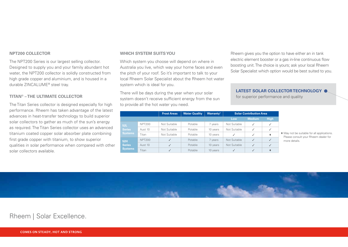#### **NPT200 COLLECTOR**

The NPT200 Series is our largest selling collector. Designed to supply you and your family abundant hot water, the NPT200 collector is solidly constructed from high grade copper and aluminium, and is housed in a durable ZINCALUME® steel tray.

#### **TITAN® – THE ULTIMATE COLLECTOR**

The Titan Series collector is designed especially for high performance. Rheem has taken advantage of the latest advances in heat-transfer technology to build superior solar collectors to gather as much of the sun's energy as required. The Titan Series collector uses an advanced titanium coated copper solar absorber plate combining first grade copper with titanium, to show superior qualities in solar performance when compared with other solar collectors available.

#### **WHICH SYSTEM SUITS YOU**

Which system you choose will depend on where in Australia you live, which way your home faces and even the pitch of your roof. So it's important to talk to your local Rheem Solar Specialist about the Rheem hot water system which is ideal for you.

There will be days during the year when your solar system doesn't receive sufficient energy from the sun to provide all the hot water you need.

**Frost Areas** | Water Quality | Warranty<sup>1</sup> | Solar Contribution Area **Low Medium** High **Series**  NPT200 | Not Suitable | Potable | 7 years | Not Suitable | ✓ | ✓ Aust 10 Not Suitable Potable 10 years Not Suitable √ √ Titan | Not Suitable | Potable | 10 years | ✓ | ✓ | ♦ **52H Series Systems** NPT200 **√** Potable 7 years Not Suitable **✓** ✓ Aust 10  $\checkmark$  Potable 10 years Not Suitable  $\checkmark$  √ Titan │ ✔ │ Potable │ 10 years │ ✔ │ ✔ │ ◆

♦ May not be suitable for all applications. Please consult your Rheem dealer for more details.

Rheem gives you the option to have either an in tank electric element booster or a gas in-line continuous flow boosting unit. The choice is yours; ask your local Rheem Solar Specialist which option would be best suited to you.

**LATEST SOLAR COLLECTOR TECHNOLOGY**

for superior performance and quality



## Rheem | Solar Excellence.

**COMES ON STEADY, HOT AND STRONG**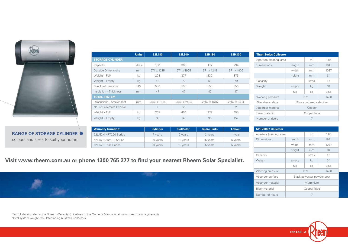

**RANGE OF STORAGE CYLINDER**  colours and sizes to suit your home

|                               | <b>Units</b> | 52L180      | 52L300         | 52H180      | 52H300         |
|-------------------------------|--------------|-------------|----------------|-------------|----------------|
| <b>STORAGE CYLINDER</b>       |              |             |                |             |                |
| Capacity                      | litres       | 180         | 305            | 177         | 294            |
| <b>Outside Dimensions</b>     | mm           | 571 x 1215  | 571 x 1905     | 571 x 1215  | 571 x 1905     |
| Weight $-$ Full <sup>2</sup>  | kg           | 228         | 377            | 230         | 373            |
| Weight - Empty                | kg           | 48          | 72             | 53          | 79             |
| Max Inlet Pressure            | kPa          | 550         | 550            | 550         | 550            |
| Insulation - Thickness        | mm           | 47          | 47             | 47          | 47             |
| <b>TOTAL SYSTEM</b>           |              |             |                |             |                |
| Dimensions - Area on roof     | mm           | 2562 x 1615 | 2562 x 2494    | 2562 x 1615 | 2562 x 2494    |
| No. of Collectors (Typical)   |              |             | $\overline{2}$ |             | $\overline{2}$ |
| Weight $-$ Full <sup>2</sup>  | kg           | 267         | 454            | 277         | 455            |
| Weight $-$ Empty <sup>2</sup> | kg           | 85          | 145            | 98          | 157            |
|                               |              |             |                |             |                |

| <b>Titan Series Collector</b> |                          |                |      |  |
|-------------------------------|--------------------------|----------------|------|--|
| Aperture (heating) area       |                          | m <sup>2</sup> | 1.86 |  |
| Dimensions                    | length                   | mm             | 1941 |  |
|                               | width                    | mm             | 1027 |  |
|                               | height                   | mm             | 84   |  |
| Capacity                      |                          | litres         | 1.5  |  |
| Weight                        | empty                    | ka             | 34   |  |
|                               | full                     | ka             | 35.5 |  |
| Working pressure              | kPa<br>1400              |                |      |  |
| Absorber surface              | Blue sputtered selective |                |      |  |
| Absorber material             | Copper                   |                |      |  |
| Riser material                | Copper Tube              |                |      |  |
| Number of risers              |                          | 7              |      |  |

| <b>Warranty Duration<sup>1</sup></b> | <b>Cylinder</b> | <b>Collector</b> | <b>Spare Parts</b> | Labour  |
|--------------------------------------|-----------------|------------------|--------------------|---------|
| 52L/52H NPT200 Series                | vears           | vears            | 3 years            | vear    |
| 52L/52H Aust 10 Series               | 10 years        | 10 years         | 5 years            | 5 years |
| 52L/52H Titan Series                 | 10 years        | 10 years         | 5 years            | 5 years |

| NPT20007 Collector      |                             |        |      |
|-------------------------|-----------------------------|--------|------|
| Aperture (heating) area | m <sup>2</sup>              | 1.86   |      |
| Dimensions              | length                      | mm     | 1941 |
|                         | width                       | mm     | 1027 |
|                         | height                      | mm     | 84   |
| Capacity                |                             | litres | 1.5  |
| Weight                  | empty                       | ka     | 34   |
|                         | full                        | kg     | 35.5 |
| Working pressure        | kPa<br>1400                 |        |      |
| Absorber surface        | Black polyester powder coat |        |      |
| Absorber material       | Aluminium                   |        |      |
| Riser material          | Copper Tube                 |        |      |
| Number of risers        | 7                           |        |      |

# **Visit www.rheem.com.au or phone 1300 765 277 to find your nearest Rheem Solar Specialist.**

|                | Working pressure  | 1400<br>kPa                 |
|----------------|-------------------|-----------------------------|
|                | Absorber surface  | Black polyester powder coat |
| <b>COLLEGE</b> | Absorber material | Aluminium                   |
|                | Riser material    | Copper Tube                 |
|                | Number of risers  |                             |

1 For full details refer to the Rheem Warranty Guidelines in the Owner's Manual or at www.rheem.com.au/warranty 2 Total system weight calculated using Australis Collectors